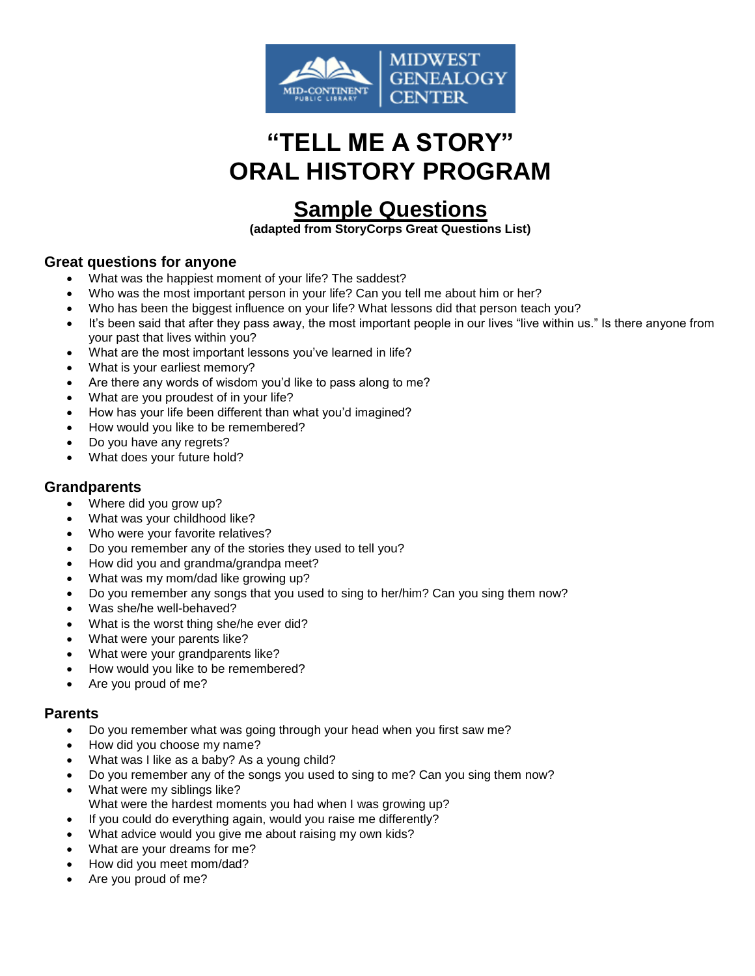

# **"TELL ME A STORY" ORAL HISTORY PROGRAM**

### **Sample Questions**

**(adapted from StoryCorps Great Questions List)**

#### **Great questions for anyone**

- What was the happiest moment of your life? The saddest?
- Who was the most important person in your life? Can you tell me about him or her?
- Who has been the biggest influence on your life? What lessons did that person teach you?
- It's been said that after they pass away, the most important people in our lives "live within us." Is there anyone from your past that lives within you?
- What are the most important lessons you've learned in life?
- What is your earliest memory?
- Are there any words of wisdom you'd like to pass along to me?
- What are you proudest of in your life?
- How has your life been different than what you'd imagined?
- How would you like to be remembered?
- Do you have any regrets?
- What does your future hold?

#### **Grandparents**

- Where did you grow up?
- What was your childhood like?
- Who were your favorite relatives?
- Do you remember any of the stories they used to tell you?
- How did you and grandma/grandpa meet?
- What was my mom/dad like growing up?
- Do you remember any songs that you used to sing to her/him? Can you sing them now?
- Was she/he well-behaved?
- What is the worst thing she/he ever did?
- What were your parents like?
- What were your grandparents like?
- How would you like to be remembered?
- Are you proud of me?

#### **Parents**

- Do you remember what was going through your head when you first saw me?
- How did you choose my name?
- What was I like as a baby? As a young child?
- Do you remember any of the songs you used to sing to me? Can you sing them now?
- What were my siblings like? What were the hardest moments you had when I was growing up?
- If you could do everything again, would you raise me differently?
- What advice would you give me about raising my own kids?
- What are your dreams for me?
- How did you meet mom/dad?
- Are you proud of me?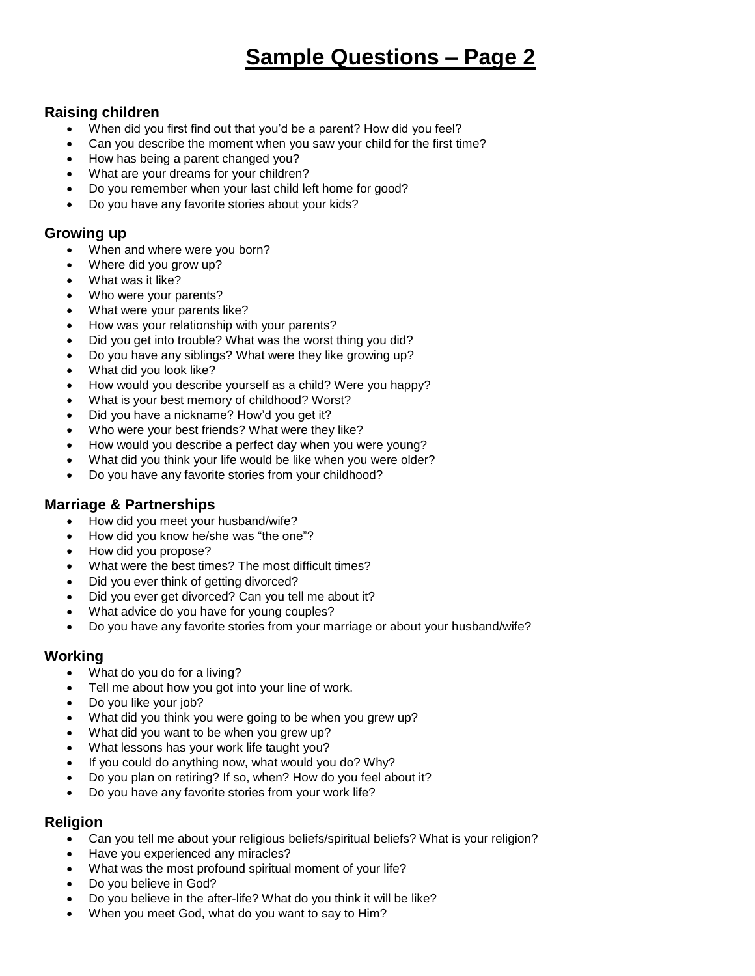# **Sample Questions – Page 2**

### **Raising children**

- When did you first find out that you'd be a parent? How did you feel?
- Can you describe the moment when you saw your child for the first time?
- How has being a parent changed you?
- What are your dreams for your children?
- Do you remember when your last child left home for good?
- Do you have any favorite stories about your kids?

### **Growing up**

- When and where were you born?
- Where did you grow up?
- What was it like?
- Who were your parents?
- What were your parents like?
- How was your relationship with your parents?
- Did you get into trouble? What was the worst thing you did?
- Do you have any siblings? What were they like growing up?
- What did you look like?
- How would you describe yourself as a child? Were you happy?
- What is your best memory of childhood? Worst?
- Did you have a nickname? How'd you get it?
- Who were your best friends? What were they like?
- How would you describe a perfect day when you were young?
- What did you think your life would be like when you were older?
- Do you have any favorite stories from your childhood?

#### **Marriage & Partnerships**

- How did you meet your husband/wife?
- How did you know he/she was "the one"?
- How did you propose?
- What were the best times? The most difficult times?
- Did you ever think of getting divorced?
- Did you ever get divorced? Can you tell me about it?
- What advice do you have for young couples?
- Do you have any favorite stories from your marriage or about your husband/wife?

#### **Working**

- What do you do for a living?
- Tell me about how you got into your line of work.
- Do you like your job?
- What did you think you were going to be when you grew up?
- What did you want to be when you grew up?
- What lessons has your work life taught you?
- If you could do anything now, what would you do? Why?
- Do you plan on retiring? If so, when? How do you feel about it?
- Do you have any favorite stories from your work life?

#### **Religion**

- Can you tell me about your religious beliefs/spiritual beliefs? What is your religion?
- Have you experienced any miracles?
- What was the most profound spiritual moment of your life?
- Do you believe in God?
- Do you believe in the after-life? What do you think it will be like?
- When you meet God, what do you want to say to Him?